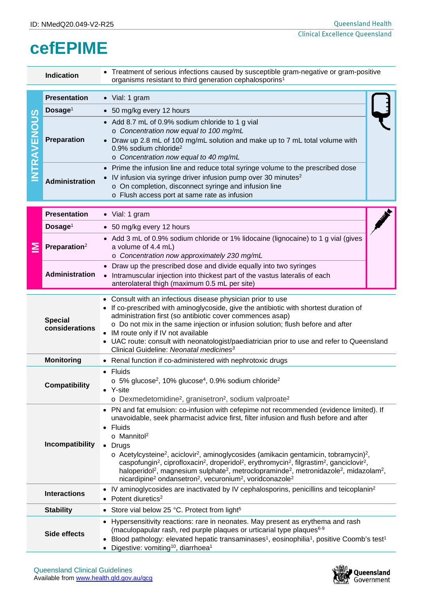## **cefEPIME**

| <b>Indication</b>                                                                                                                                                                                                                                                                                                                                                                               |                                                                                                                                                                        | Treatment of serious infections caused by susceptible gram-negative or gram-positive<br>organisms resistant to third generation cephalosporins <sup>1</sup>                                                                                                                                                                                                                                                                                                                                                                                                                                                                                                                                                                                                                                                          |  |  |  |  |
|-------------------------------------------------------------------------------------------------------------------------------------------------------------------------------------------------------------------------------------------------------------------------------------------------------------------------------------------------------------------------------------------------|------------------------------------------------------------------------------------------------------------------------------------------------------------------------|----------------------------------------------------------------------------------------------------------------------------------------------------------------------------------------------------------------------------------------------------------------------------------------------------------------------------------------------------------------------------------------------------------------------------------------------------------------------------------------------------------------------------------------------------------------------------------------------------------------------------------------------------------------------------------------------------------------------------------------------------------------------------------------------------------------------|--|--|--|--|
| <b>NTRAVENOUS</b>                                                                                                                                                                                                                                                                                                                                                                               | <b>Presentation</b>                                                                                                                                                    | • Vial: 1 gram                                                                                                                                                                                                                                                                                                                                                                                                                                                                                                                                                                                                                                                                                                                                                                                                       |  |  |  |  |
|                                                                                                                                                                                                                                                                                                                                                                                                 | Dosage <sup>1</sup>                                                                                                                                                    | • 50 mg/kg every 12 hours                                                                                                                                                                                                                                                                                                                                                                                                                                                                                                                                                                                                                                                                                                                                                                                            |  |  |  |  |
|                                                                                                                                                                                                                                                                                                                                                                                                 | <b>Preparation</b>                                                                                                                                                     | • Add 8.7 mL of 0.9% sodium chloride to 1 g vial<br>o Concentration now equal to 100 mg/mL<br>• Draw up 2.8 mL of 100 mg/mL solution and make up to 7 mL total volume with<br>0.9% sodium chloride <sup>2</sup><br>o Concentration now equal to 40 mg/mL                                                                                                                                                                                                                                                                                                                                                                                                                                                                                                                                                             |  |  |  |  |
|                                                                                                                                                                                                                                                                                                                                                                                                 | <b>Administration</b>                                                                                                                                                  | Prime the infusion line and reduce total syringe volume to the prescribed dose<br>IV infusion via syringe driver infusion pump over 30 minutes <sup>2</sup><br>o On completion, disconnect syringe and infusion line<br>o Flush access port at same rate as infusion                                                                                                                                                                                                                                                                                                                                                                                                                                                                                                                                                 |  |  |  |  |
|                                                                                                                                                                                                                                                                                                                                                                                                 | <b>Presentation</b>                                                                                                                                                    | • Vial: 1 gram                                                                                                                                                                                                                                                                                                                                                                                                                                                                                                                                                                                                                                                                                                                                                                                                       |  |  |  |  |
|                                                                                                                                                                                                                                                                                                                                                                                                 | Dosage <sup>1</sup>                                                                                                                                                    | • 50 mg/kg every 12 hours                                                                                                                                                                                                                                                                                                                                                                                                                                                                                                                                                                                                                                                                                                                                                                                            |  |  |  |  |
|                                                                                                                                                                                                                                                                                                                                                                                                 | Preparation <sup>2</sup>                                                                                                                                               | • Add 3 mL of 0.9% sodium chloride or 1% lidocaine (lignocaine) to 1 g vial (gives<br>a volume of 4.4 mL)<br>o Concentration now approximately 230 mg/mL                                                                                                                                                                                                                                                                                                                                                                                                                                                                                                                                                                                                                                                             |  |  |  |  |
|                                                                                                                                                                                                                                                                                                                                                                                                 | <b>Administration</b>                                                                                                                                                  | Draw up the prescribed dose and divide equally into two syringes<br>• Intramuscular injection into thickest part of the vastus lateralis of each<br>anterolateral thigh (maximum 0.5 mL per site)                                                                                                                                                                                                                                                                                                                                                                                                                                                                                                                                                                                                                    |  |  |  |  |
| <b>Special</b><br>considerations                                                                                                                                                                                                                                                                                                                                                                |                                                                                                                                                                        | • Consult with an infectious disease physician prior to use<br>If co-prescribed with aminoglycoside, give the antibiotic with shortest duration of<br>administration first (so antibiotic cover commences asap)<br>o Do not mix in the same injection or infusion solution; flush before and after<br>• IM route only if IV not available<br>• UAC route: consult with neonatologist/paediatrician prior to use and refer to Queensland<br>Clinical Guideline: Neonatal medicines <sup>3</sup>                                                                                                                                                                                                                                                                                                                       |  |  |  |  |
|                                                                                                                                                                                                                                                                                                                                                                                                 | <b>Monitoring</b>                                                                                                                                                      | • Renal function if co-administered with nephrotoxic drugs                                                                                                                                                                                                                                                                                                                                                                                                                                                                                                                                                                                                                                                                                                                                                           |  |  |  |  |
| <b>Compatibility</b>                                                                                                                                                                                                                                                                                                                                                                            |                                                                                                                                                                        | Fluids<br>$\circ$ 5% glucose <sup>2</sup> , 10% glucose <sup>4</sup> , 0.9% sodium chloride <sup>2</sup><br>Y-site<br>$\bullet$<br>o Dexmedetomidine <sup>2</sup> , granisetron <sup>2</sup> , sodium valproate <sup>2</sup>                                                                                                                                                                                                                                                                                                                                                                                                                                                                                                                                                                                         |  |  |  |  |
| Incompatibility                                                                                                                                                                                                                                                                                                                                                                                 |                                                                                                                                                                        | PN and fat emulsion: co-infusion with cefepime not recommended (evidence limited). If<br>unavoidable, seek pharmacist advice first, filter infusion and flush before and after<br>Fluids<br>$\bullet$<br>o Mannitol <sup>2</sup><br>Drugs<br>$\circ$ Acetylcysteine <sup>2</sup> , aciclovir <sup>2</sup> , aminoglycosides (amikacin gentamicin, tobramycin) <sup>2</sup> ,<br>caspofungin <sup>2</sup> , ciprofloxacin <sup>2</sup> , droperidol <sup>2</sup> , erythromycin <sup>2</sup> , filgrastim <sup>2</sup> , ganciclovir <sup>2</sup> ,<br>haloperidol <sup>2</sup> , magnesium sulphate <sup>2</sup> , metroclopraminde <sup>2</sup> , metronidazole <sup>2</sup> , midazolam <sup>2</sup> ,<br>nicardipine <sup>2</sup> ondansetron <sup>2</sup> , vecuronium <sup>2</sup> , voridconazole <sup>2</sup> |  |  |  |  |
|                                                                                                                                                                                                                                                                                                                                                                                                 | IV aminoglycosides are inactivated by IV cephalosporins, penicillins and teicoplanin <sup>2</sup><br>$\bullet$<br><b>Interactions</b><br>Potent diuretics <sup>2</sup> |                                                                                                                                                                                                                                                                                                                                                                                                                                                                                                                                                                                                                                                                                                                                                                                                                      |  |  |  |  |
|                                                                                                                                                                                                                                                                                                                                                                                                 | <b>Stability</b>                                                                                                                                                       | Store vial below 25 °C. Protect from light <sup>5</sup><br>$\bullet$                                                                                                                                                                                                                                                                                                                                                                                                                                                                                                                                                                                                                                                                                                                                                 |  |  |  |  |
| Hypersensitivity reactions: rare in neonates. May present as erythema and rash<br>$\bullet$<br>(maculopapular rash, red purple plaques or urticarial type plaques <sup>6-9</sup><br>Side effects<br>Blood pathology: elevated hepatic transaminases <sup>1</sup> , eosinophilia <sup>1</sup> , positive Coomb's test <sup>1</sup><br>Digestive: vomiting <sup>10</sup> , diarrhoea <sup>1</sup> |                                                                                                                                                                        |                                                                                                                                                                                                                                                                                                                                                                                                                                                                                                                                                                                                                                                                                                                                                                                                                      |  |  |  |  |